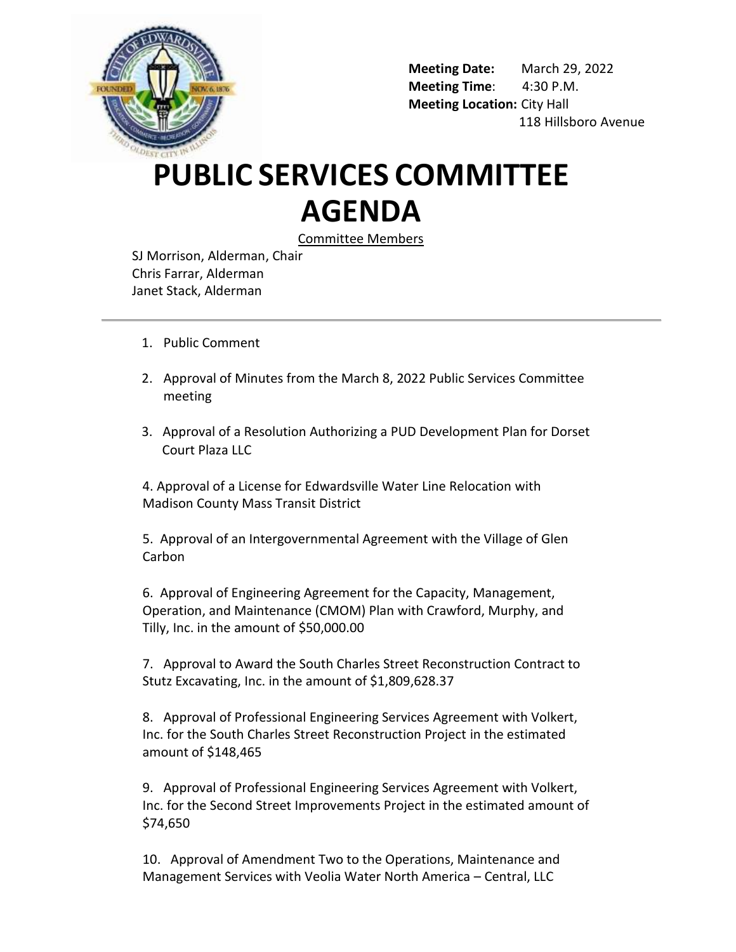

**Meeting Date:** March 29, 2022 **Meeting Time**: 4:30 P.M. **Meeting Location:** City Hall 118 Hillsboro Avenue

## **PUBLIC SERVICES COMMITTEE AGENDA**

Committee Members

SJ Morrison, Alderman, Chair Chris Farrar, Alderman Janet Stack, Alderman

- 1. Public Comment
- 2. Approval of Minutes from the March 8, 2022 Public Services Committee meeting
- 3. Approval of a Resolution Authorizing a PUD Development Plan for Dorset Court Plaza LLC

4. Approval of a License for Edwardsville Water Line Relocation with Madison County Mass Transit District

5. Approval of an Intergovernmental Agreement with the Village of Glen Carbon

6. Approval of Engineering Agreement for the Capacity, Management, Operation, and Maintenance (CMOM) Plan with Crawford, Murphy, and Tilly, Inc. in the amount of \$50,000.00

7. Approval to Award the South Charles Street Reconstruction Contract to Stutz Excavating, Inc. in the amount of \$1,809,628.37

8. Approval of Professional Engineering Services Agreement with Volkert, Inc. for the South Charles Street Reconstruction Project in the estimated amount of \$148,465

9. Approval of Professional Engineering Services Agreement with Volkert, Inc. for the Second Street Improvements Project in the estimated amount of \$74,650

10. Approval of Amendment Two to the Operations, Maintenance and Management Services with Veolia Water North America – Central, LLC